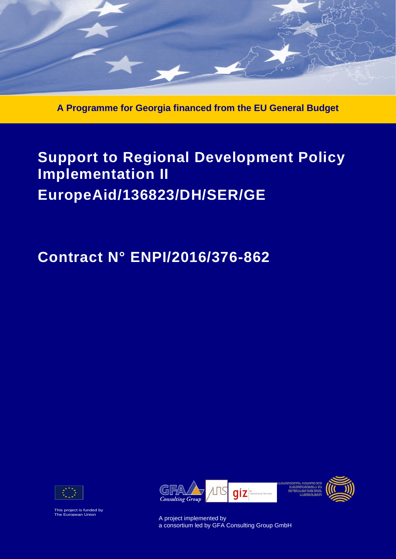

**A Programme for Georgia financed from the EU General Budget**

# **Support to Regional Development Policy Implementation II EuropeAid/136823/DH/SER/GE**

# **Contract N° ENPI/2016/376-862**



This project is funded by The European Union



A project implemented by a consortium led by GFA Consulting Group GmbH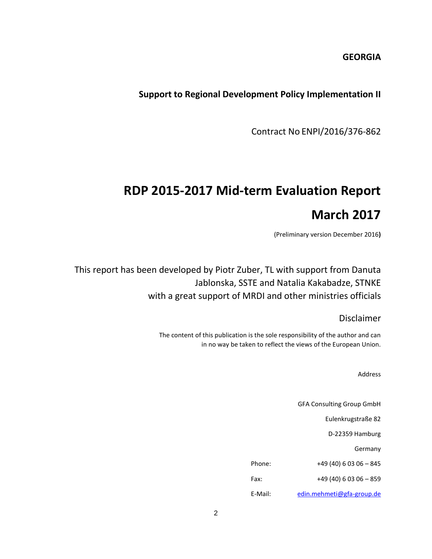## **GEORGIA**

## **Support to Regional Development Policy Implementation II**

Contract No ENPI/2016/376-862

# **RDP 2015-2017 Mid-term Evaluation Report March 2017**

(Preliminary version December 2016**)**

This report has been developed by Piotr Zuber, TL with support from Danuta Jablonska, SSTE and Natalia Kakabadze, STNKE with a great support of MRDI and other ministries officials

Disclaimer

The content of this publication is the sole responsibility of the author and can in no way be taken to reflect the views of the European Union.

Address

GFA Consulting Group GmbH Eulenkrugstraße 82 D-22359 Hamburg Germany Phone: +49 (40) 6 03 06 - 845 Fax: +49 (40) 6 03 06 - 859 E-Mail: [edin.mehmeti@gfa-group.de](mailto:edin.mehmeti@gfa-group.de)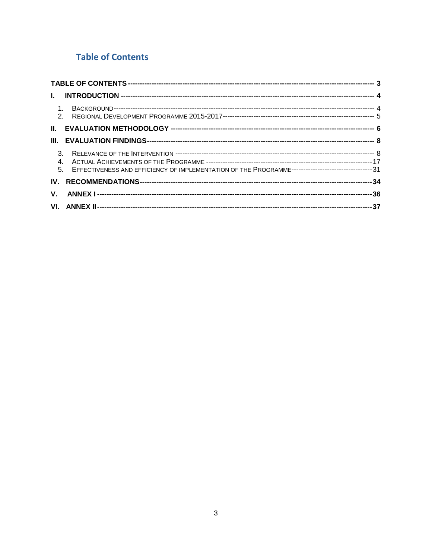# <span id="page-2-0"></span>**Table of Contents**

| 5. EFFECTIVENESS AND EFFICIENCY OF IMPLEMENTATION OF THE PROGRAMME----------------------------------31 |  |
|--------------------------------------------------------------------------------------------------------|--|
|                                                                                                        |  |
|                                                                                                        |  |
|                                                                                                        |  |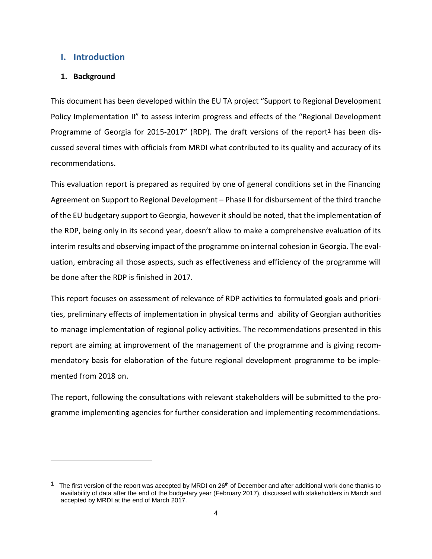## <span id="page-3-0"></span>**I. Introduction**

## <span id="page-3-1"></span>**1. Background**

l

This document has been developed within the EU TA project "Support to Regional Development Policy Implementation II" to assess interim progress and effects of the "Regional Development Programme of Georgia for 2015-2017" (RDP). The draft versions of the report<sup>1</sup> has been discussed several times with officials from MRDI what contributed to its quality and accuracy of its recommendations.

This evaluation report is prepared as required by one of general conditions set in the Financing Agreement on Support to Regional Development – Phase II for disbursement of the third tranche of the EU budgetary support to Georgia, however it should be noted, that the implementation of the RDP, being only in its second year, doesn't allow to make a comprehensive evaluation of its interim results and observing impact of the programme on internal cohesion in Georgia. The evaluation, embracing all those aspects, such as effectiveness and efficiency of the programme will be done after the RDP is finished in 2017.

This report focuses on assessment of relevance of RDP activities to formulated goals and priorities, preliminary effects of implementation in physical terms and ability of Georgian authorities to manage implementation of regional policy activities. The recommendations presented in this report are aiming at improvement of the management of the programme and is giving recommendatory basis for elaboration of the future regional development programme to be implemented from 2018 on.

The report, following the consultations with relevant stakeholders will be submitted to the programme implementing agencies for further consideration and implementing recommendations.

<sup>&</sup>lt;sup>1</sup> The first version of the report was accepted by MRDI on  $26<sup>th</sup>$  of December and after additional work done thanks to availability of data after the end of the budgetary year (February 2017), discussed with stakeholders in March and accepted by MRDI at the end of March 2017.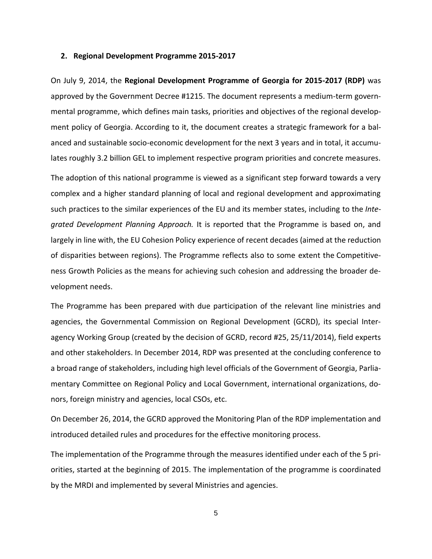#### <span id="page-4-0"></span>**2. Regional Development Programme 2015-2017**

On July 9, 2014, the **Regional Development Programme of Georgia for 2015-2017 (RDP)** was approved by the Government Decree #1215. The document represents a medium-term governmental programme, which defines main tasks, priorities and objectives of the regional development policy of Georgia. According to it, the document creates a strategic framework for a balanced and sustainable socio-economic development for the next 3 years and in total, it accumulates roughly 3.2 billion GEL to implement respective program priorities and concrete measures.

The adoption of this national programme is viewed as a significant step forward towards a very complex and a higher standard planning of local and regional development and approximating such practices to the similar experiences of the EU and its member states, including to the *Integrated Development Planning Approach.* It is reported that the Programme is based on, and largely in line with, the EU Cohesion Policy experience of recent decades (aimed at the reduction of disparities between regions). The Programme reflects also to some extent the Competitiveness Growth Policies as the means for achieving such cohesion and addressing the broader development needs.

The Programme has been prepared with due participation of the relevant line ministries and agencies, the Governmental Commission on Regional Development (GCRD), its special Interagency Working Group (created by the decision of GCRD, record #25, 25/11/2014), field experts and other stakeholders. In December 2014, RDP was presented at the concluding conference to a broad range of stakeholders, including high level officials of the Government of Georgia, Parliamentary Committee on Regional Policy and Local Government, international organizations, donors, foreign ministry and agencies, local CSOs, etc.

On December 26, 2014, the GCRD approved the Monitoring Plan of the RDP implementation and introduced detailed rules and procedures for the effective monitoring process.

The implementation of the Programme through the measures identified under each of the 5 priorities, started at the beginning of 2015. The implementation of the programme is coordinated by the MRDI and implemented by several Ministries and agencies.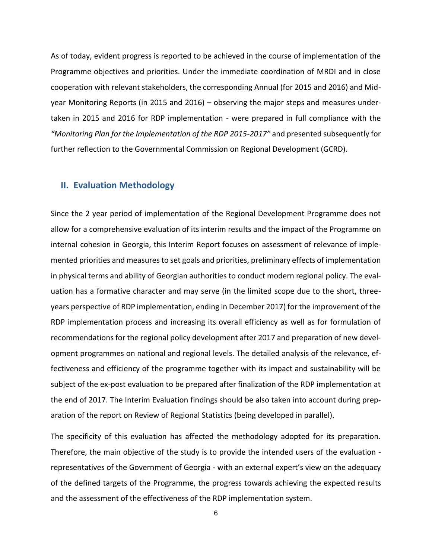As of today, evident progress is reported to be achieved in the course of implementation of the Programme objectives and priorities. Under the immediate coordination of MRDI and in close cooperation with relevant stakeholders, the corresponding Annual (for 2015 and 2016) and Midyear Monitoring Reports (in 2015 and 2016) – observing the major steps and measures undertaken in 2015 and 2016 for RDP implementation - were prepared in full compliance with the *"Monitoring Plan for the Implementation of the RDP 2015-2017"* and presented subsequently for further reflection to the Governmental Commission on Regional Development (GCRD).

## <span id="page-5-0"></span>**II. Evaluation Methodology**

Since the 2 year period of implementation of the Regional Development Programme does not allow for a comprehensive evaluation of its interim results and the impact of the Programme on internal cohesion in Georgia, this Interim Report focuses on assessment of relevance of implemented priorities and measures to set goals and priorities, preliminary effects of implementation in physical terms and ability of Georgian authorities to conduct modern regional policy. The evaluation has a formative character and may serve (in the limited scope due to the short, threeyears perspective of RDP implementation, ending in December 2017) for the improvement of the RDP implementation process and increasing its overall efficiency as well as for formulation of recommendations for the regional policy development after 2017 and preparation of new development programmes on national and regional levels. The detailed analysis of the relevance, effectiveness and efficiency of the programme together with its impact and sustainability will be subject of the ex-post evaluation to be prepared after finalization of the RDP implementation at the end of 2017. The Interim Evaluation findings should be also taken into account during preparation of the report on Review of Regional Statistics (being developed in parallel).

The specificity of this evaluation has affected the methodology adopted for its preparation. Therefore, the main objective of the study is to provide the intended users of the evaluation representatives of the Government of Georgia - with an external expert's view on the adequacy of the defined targets of the Programme, the progress towards achieving the expected results and the assessment of the effectiveness of the RDP implementation system.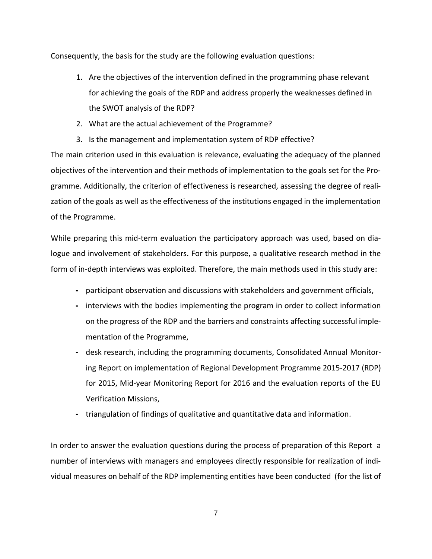Consequently, the basis for the study are the following evaluation questions:

- 1. Are the objectives of the intervention defined in the programming phase relevant for achieving the goals of the RDP and address properly the weaknesses defined in the SWOT analysis of the RDP?
- 2. What are the actual achievement of the Programme?
- 3. Is the management and implementation system of RDP effective?

The main criterion used in this evaluation is relevance, evaluating the adequacy of the planned objectives of the intervention and their methods of implementation to the goals set for the Programme. Additionally, the criterion of effectiveness is researched, assessing the degree of realization of the goals as well as the effectiveness of the institutions engaged in the implementation of the Programme.

While preparing this mid-term evaluation the participatory approach was used, based on dialogue and involvement of stakeholders. For this purpose, a qualitative research method in the form of in-depth interviews was exploited. Therefore, the main methods used in this study are:

- **-** participant observation and discussions with stakeholders and government officials,
- **-** interviews with the bodies implementing the program in order to collect information on the progress of the RDP and the barriers and constraints affecting successful implementation of the Programme,
- **-** desk research, including the programming documents, Consolidated Annual Monitoring Report on implementation of Regional Development Programme 2015-2017 (RDP) for 2015, Mid-year Monitoring Report for 2016 and the evaluation reports of the EU Verification Missions,
- **-** triangulation of findings of qualitative and quantitative data and information.

In order to answer the evaluation questions during the process of preparation of this Report a number of interviews with managers and employees directly responsible for realization of individual measures on behalf of the RDP implementing entities have been conducted (for the list of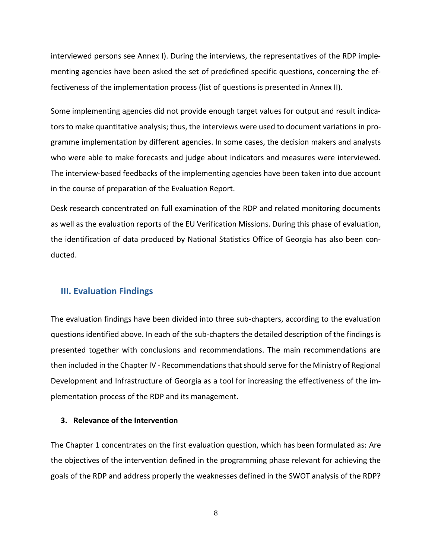interviewed persons see Annex I). During the interviews, the representatives of the RDP implementing agencies have been asked the set of predefined specific questions, concerning the effectiveness of the implementation process (list of questions is presented in Annex II).

Some implementing agencies did not provide enough target values for output and result indicators to make quantitative analysis; thus, the interviews were used to document variations in programme implementation by different agencies. In some cases, the decision makers and analysts who were able to make forecasts and judge about indicators and measures were interviewed. The interview-based feedbacks of the implementing agencies have been taken into due account in the course of preparation of the Evaluation Report.

Desk research concentrated on full examination of the RDP and related monitoring documents as well as the evaluation reports of the EU Verification Missions. During this phase of evaluation, the identification of data produced by National Statistics Office of Georgia has also been conducted.

## <span id="page-7-0"></span>**III. Evaluation Findings**

The evaluation findings have been divided into three sub-chapters, according to the evaluation questions identified above. In each of the sub-chapters the detailed description of the findings is presented together with conclusions and recommendations. The main recommendations are then included in the Chapter IV - Recommendationsthatshould serve for the Ministry of Regional Development and Infrastructure of Georgia as a tool for increasing the effectiveness of the implementation process of the RDP and its management.

#### <span id="page-7-1"></span>**3. Relevance of the Intervention**

The Chapter 1 concentrates on the first evaluation question, which has been formulated as: Are the objectives of the intervention defined in the programming phase relevant for achieving the goals of the RDP and address properly the weaknesses defined in the SWOT analysis of the RDP?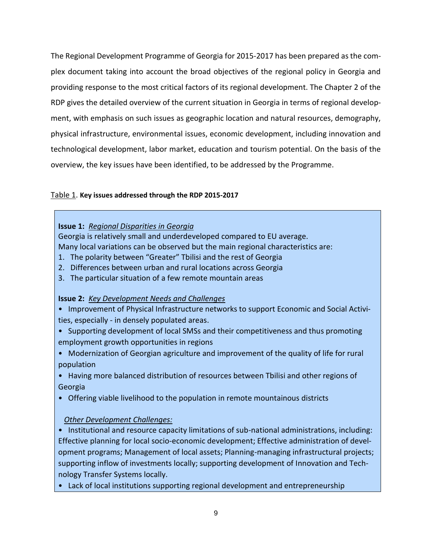The Regional Development Programme of Georgia for 2015-2017 has been prepared as the complex document taking into account the broad objectives of the regional policy in Georgia and providing response to the most critical factors of its regional development. The Chapter 2 of the RDP gives the detailed overview of the current situation in Georgia in terms of regional development, with emphasis on such issues as geographic location and natural resources, demography, physical infrastructure, environmental issues, economic development, including innovation and technological development, labor market, education and tourism potential. On the basis of the overview, the key issues have been identified, to be addressed by the Programme.

### Table 1. **Key issues addressed through the RDP 2015-2017**

### **Issue 1:** *Regional Disparities in Georgia*

Georgia is relatively small and underdeveloped compared to EU average. Many local variations can be observed but the main regional characteristics are:

- 1. The polarity between "Greater" Tbilisi and the rest of Georgia
- 2. Differences between urban and rural locations across Georgia
- 3. The particular situation of a few remote mountain areas

## **Issue 2:** *Key Development Needs and Challenges*

- Improvement of Physical Infrastructure networks to support Economic and Social Activities, especially - in densely populated areas.
- Supporting development of local SMSs and their competitiveness and thus promoting employment growth opportunities in regions
- Modernization of Georgian agriculture and improvement of the quality of life for rural population

• Having more balanced distribution of resources between Tbilisi and other regions of Georgia

• Offering viable livelihood to the population in remote mountainous districts

## *Other Development Challenges:*

• Institutional and resource capacity limitations of sub-national administrations, including: Effective planning for local socio-economic development; Effective administration of development programs; Management of local assets; Planning-managing infrastructural projects; supporting inflow of investments locally; supporting development of Innovation and Technology Transfer Systems locally.

• Lack of local institutions supporting regional development and entrepreneurship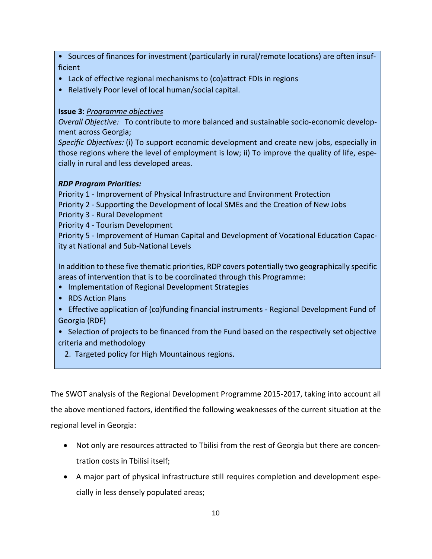• Sources of finances for investment (particularly in rural/remote locations) are often insufficient

- Lack of effective regional mechanisms to (co)attract FDIs in regions
- Relatively Poor level of local human/social capital.

## **Issue 3**: *Programme objectives*

*Overall Objective:* To contribute to more balanced and sustainable socio-economic development across Georgia;

*Specific Objectives:* (i) To support economic development and create new jobs, especially in those regions where the level of employment is low; ii) To improve the quality of life, especially in rural and less developed areas.

## *RDP Program Priorities:*

Priority 1 - Improvement of Physical Infrastructure and Environment Protection

- Priority 2 Supporting the Development of local SMEs and the Creation of New Jobs
- Priority 3 Rural Development

Priority 4 - Tourism Development

Priority 5 - Improvement of Human Capital and Development of Vocational Education Capacity at National and Sub-National Levels

In addition to these five thematic priorities, RDP covers potentially two geographically specific areas of intervention that is to be coordinated through this Programme:

- Implementation of Regional Development Strategies
- RDS Action Plans
- Effective application of (co)funding financial instruments Regional Development Fund of Georgia (RDF)
- Selection of projects to be financed from the Fund based on the respectively set objective criteria and methodology
	- 2. Targeted policy for High Mountainous regions.

The SWOT analysis of the Regional Development Programme 2015-2017, taking into account all the above mentioned factors, identified the following weaknesses of the current situation at the regional level in Georgia:

- Not only are resources attracted to Tbilisi from the rest of Georgia but there are concentration costs in Tbilisi itself;
- A major part of physical infrastructure still requires completion and development especially in less densely populated areas;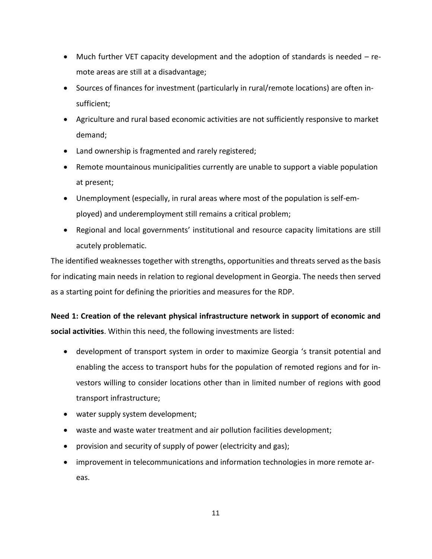- Much further VET capacity development and the adoption of standards is needed remote areas are still at a disadvantage;
- Sources of finances for investment (particularly in rural/remote locations) are often insufficient;
- Agriculture and rural based economic activities are not sufficiently responsive to market demand;
- Land ownership is fragmented and rarely registered;
- Remote mountainous municipalities currently are unable to support a viable population at present;
- Unemployment (especially, in rural areas where most of the population is self-employed) and underemployment still remains a critical problem;
- Regional and local governments' institutional and resource capacity limitations are still acutely problematic.

The identified weaknesses together with strengths, opportunities and threats served as the basis for indicating main needs in relation to regional development in Georgia. The needs then served as a starting point for defining the priorities and measures for the RDP.

**Need 1: Creation of the relevant physical infrastructure network in support of economic and social activities**. Within this need, the following investments are listed:

- development of transport system in order to maximize Georgia 's transit potential and enabling the access to transport hubs for the population of remoted regions and for investors willing to consider locations other than in limited number of regions with good transport infrastructure;
- water supply system development;
- waste and waste water treatment and air pollution facilities development;
- provision and security of supply of power (electricity and gas);
- improvement in telecommunications and information technologies in more remote areas.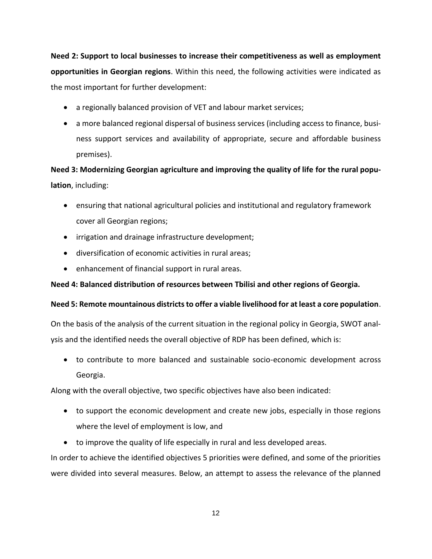**Need 2: Support to local businesses to increase their competitiveness as well as employment opportunities in Georgian regions**. Within this need, the following activities were indicated as the most important for further development:

- a regionally balanced provision of VET and labour market services;
- a more balanced regional dispersal of business services (including access to finance, business support services and availability of appropriate, secure and affordable business premises).

**Need 3: Modernizing Georgian agriculture and improving the quality of life for the rural population**, including:

- ensuring that national agricultural policies and institutional and regulatory framework cover all Georgian regions;
- irrigation and drainage infrastructure development;
- diversification of economic activities in rural areas;
- enhancement of financial support in rural areas.

## **Need 4: Balanced distribution of resources between Tbilisi and other regions of Georgia.**

## **Need 5: Remote mountainous districts to offer a viable livelihood for at least a core population**.

On the basis of the analysis of the current situation in the regional policy in Georgia, SWOT analysis and the identified needs the overall objective of RDP has been defined, which is:

 to contribute to more balanced and sustainable socio-economic development across Georgia.

Along with the overall objective, two specific objectives have also been indicated:

- to support the economic development and create new jobs, especially in those regions where the level of employment is low, and
- to improve the quality of life especially in rural and less developed areas.

In order to achieve the identified objectives 5 priorities were defined, and some of the priorities were divided into several measures. Below, an attempt to assess the relevance of the planned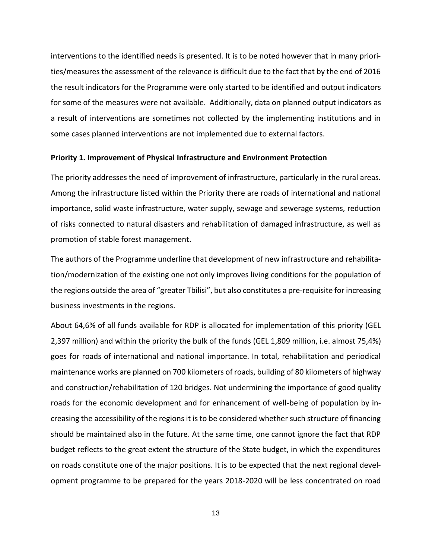interventions to the identified needs is presented. It is to be noted however that in many priorities/measures the assessment of the relevance is difficult due to the fact that by the end of 2016 the result indicators for the Programme were only started to be identified and output indicators for some of the measures were not available. Additionally, data on planned output indicators as a result of interventions are sometimes not collected by the implementing institutions and in some cases planned interventions are not implemented due to external factors.

#### **Priority 1. Improvement of Physical Infrastructure and Environment Protection**

The priority addresses the need of improvement of infrastructure, particularly in the rural areas. Among the infrastructure listed within the Priority there are roads of international and national importance, solid waste infrastructure, water supply, sewage and sewerage systems, reduction of risks connected to natural disasters and rehabilitation of damaged infrastructure, as well as promotion of stable forest management.

The authors of the Programme underline that development of new infrastructure and rehabilitation/modernization of the existing one not only improves living conditions for the population of the regions outside the area of "greater Tbilisi", but also constitutes a pre-requisite for increasing business investments in the regions.

About 64,6% of all funds available for RDP is allocated for implementation of this priority (GEL 2,397 million) and within the priority the bulk of the funds (GEL 1,809 million, i.e. almost 75,4%) goes for roads of international and national importance. In total, rehabilitation and periodical maintenance works are planned on 700 kilometers of roads, building of 80 kilometers of highway and construction/rehabilitation of 120 bridges. Not undermining the importance of good quality roads for the economic development and for enhancement of well-being of population by increasing the accessibility of the regions it is to be considered whether such structure of financing should be maintained also in the future. At the same time, one cannot ignore the fact that RDP budget reflects to the great extent the structure of the State budget, in which the expenditures on roads constitute one of the major positions. It is to be expected that the next regional development programme to be prepared for the years 2018-2020 will be less concentrated on road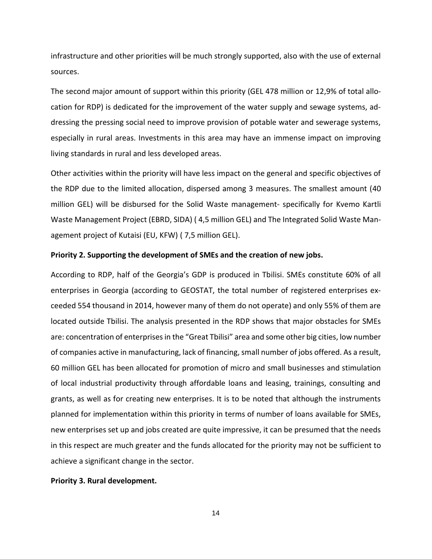infrastructure and other priorities will be much strongly supported, also with the use of external sources.

The second major amount of support within this priority (GEL 478 million or 12,9% of total allocation for RDP) is dedicated for the improvement of the water supply and sewage systems, addressing the pressing social need to improve provision of potable water and sewerage systems, especially in rural areas. Investments in this area may have an immense impact on improving living standards in rural and less developed areas.

Other activities within the priority will have less impact on the general and specific objectives of the RDP due to the limited allocation, dispersed among 3 measures. The smallest amount (40 million GEL) will be disbursed for the Solid Waste management- specifically for Kvemo Kartli Waste Management Project (EBRD, SIDA) ( 4,5 million GEL) and The Integrated Solid Waste Management project of Kutaisi (EU, KFW) ( 7,5 million GEL).

#### **Priority 2. Supporting the development of SMEs and the creation of new jobs.**

According to RDP, half of the Georgia's GDP is produced in Tbilisi. SMEs constitute 60% of all enterprises in Georgia (according to GEOSTAT, the total number of registered enterprises exceeded 554 thousand in 2014, however many of them do not operate) and only 55% of them are located outside Tbilisi. The analysis presented in the RDP shows that major obstacles for SMEs are: concentration of enterprises in the "Great Tbilisi" area and some other big cities, low number of companies active in manufacturing, lack of financing, small number of jobs offered. As a result, 60 million GEL has been allocated for promotion of micro and small businesses and stimulation of local industrial productivity through affordable loans and leasing, trainings, consulting and grants, as well as for creating new enterprises. It is to be noted that although the instruments planned for implementation within this priority in terms of number of loans available for SMEs, new enterprises set up and jobs created are quite impressive, it can be presumed that the needs in this respect are much greater and the funds allocated for the priority may not be sufficient to achieve a significant change in the sector.

#### **Priority 3. Rural development.**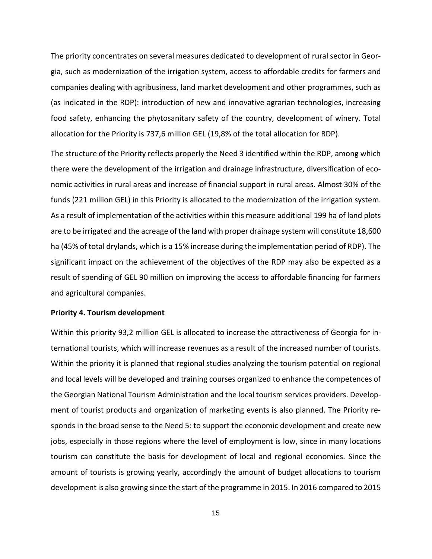The priority concentrates on several measures dedicated to development of rural sector in Georgia, such as modernization of the irrigation system, access to affordable credits for farmers and companies dealing with agribusiness, land market development and other programmes, such as (as indicated in the RDP): introduction of new and innovative agrarian technologies, increasing food safety, enhancing the phytosanitary safety of the country, development of winery. Total allocation for the Priority is 737,6 million GEL (19,8% of the total allocation for RDP).

The structure of the Priority reflects properly the Need 3 identified within the RDP, among which there were the development of the irrigation and drainage infrastructure, diversification of economic activities in rural areas and increase of financial support in rural areas. Almost 30% of the funds (221 million GEL) in this Priority is allocated to the modernization of the irrigation system. As a result of implementation of the activities within this measure additional 199 ha of land plots are to be irrigated and the acreage of the land with proper drainage system will constitute 18,600 ha (45% of total drylands, which is a 15% increase during the implementation period of RDP). The significant impact on the achievement of the objectives of the RDP may also be expected as a result of spending of GEL 90 million on improving the access to affordable financing for farmers and agricultural companies.

#### **Priority 4. Tourism development**

Within this priority 93,2 million GEL is allocated to increase the attractiveness of Georgia for international tourists, which will increase revenues as a result of the increased number of tourists. Within the priority it is planned that regional studies analyzing the tourism potential on regional and local levels will be developed and training courses organized to enhance the competences of the Georgian National Tourism Administration and the local tourism services providers. Development of tourist products and organization of marketing events is also planned. The Priority responds in the broad sense to the Need 5: to support the economic development and create new jobs, especially in those regions where the level of employment is low, since in many locations tourism can constitute the basis for development of local and regional economies. Since the amount of tourists is growing yearly, accordingly the amount of budget allocations to tourism development is also growing since the start of the programme in 2015. In 2016 compared to 2015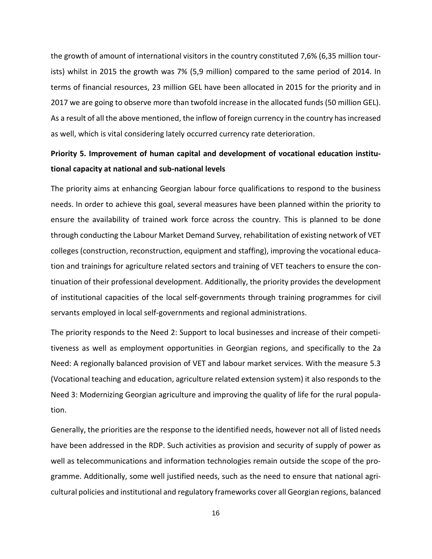the growth of amount of international visitors in the country constituted 7,6% (6,35 million tourists) whilst in 2015 the growth was 7% (5,9 million) compared to the same period of 2014. In terms of financial resources, 23 million GEL have been allocated in 2015 for the priority and in 2017 we are going to observe more than twofold increase in the allocated funds (50 million GEL). As a result of all the above mentioned, the inflow of foreign currency in the country has increased as well, which is vital considering lately occurred currency rate deterioration.

# **Priority 5. Improvement of human capital and development of vocational education institutional capacity at national and sub-national levels**

The priority aims at enhancing Georgian labour force qualifications to respond to the business needs. In order to achieve this goal, several measures have been planned within the priority to ensure the availability of trained work force across the country. This is planned to be done through conducting the Labour Market Demand Survey, rehabilitation of existing network of VET colleges (construction, reconstruction, equipment and staffing), improving the vocational education and trainings for agriculture related sectors and training of VET teachers to ensure the continuation of their professional development. Additionally, the priority provides the development of institutional capacities of the local self-governments through training programmes for civil servants employed in local self-governments and regional administrations.

The priority responds to the Need 2: Support to local businesses and increase of their competitiveness as well as employment opportunities in Georgian regions, and specifically to the 2a Need: A regionally balanced provision of VET and labour market services. With the measure 5.3 (Vocational teaching and education, agriculture related extension system) it also responds to the Need 3: Modernizing Georgian agriculture and improving the quality of life for the rural population.

Generally, the priorities are the response to the identified needs, however not all of listed needs have been addressed in the RDP. Such activities as provision and security of supply of power as well as telecommunications and information technologies remain outside the scope of the programme. Additionally, some well justified needs, such as the need to ensure that national agricultural policies and institutional and regulatory frameworks cover all Georgian regions, balanced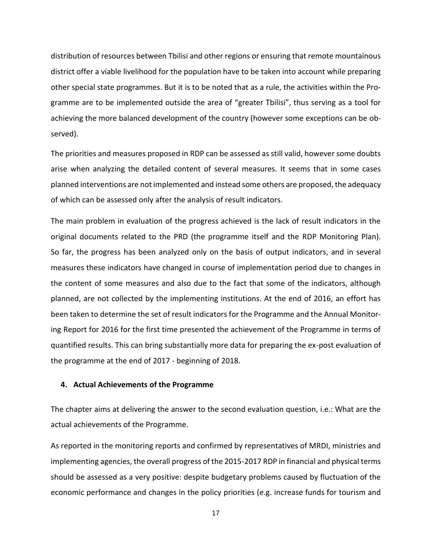distribution of resources between Tbilisi and other regions or ensuring that remote mountainous district offer a viable livelihood for the population have to be taken into account while preparing other special state programmes. But it is to be noted that as a rule, the activities within the Programme are to be implemented outside the area of "greater Tbilisi", thus serving as a tool for achieving the more balanced development of the country (however some exceptions can be observed).

The priorities and measures proposed in RDP can be assessed as still valid, however some doubts arise when analyzing the detailed content of several measures. It seems that in some cases planned interventions are not implemented and instead some others are proposed, the adequacy of which can be assessed only after the analysis of result indicators.

The main problem in evaluation of the progress achieved is the lack of result indicators in the original documents related to the PRD (the programme itself and the RDP Monitoring Plan). So far, the progress has been analyzed only on the basis of output indicators, and in several measures these indicators have changed in course of implementation period due to changes in the content of some measures and also due to the fact that some of the indicators, although planned, are not collected by the implementing institutions. At the end of 2016, an effort has been taken to determine the set of result indicators for the Programme and the Annual Monitoring Report for 2016 for the first time presented the achievement of the Programme in terms of quantified results. This can bring substantially more data for preparing the ex-post evaluation of the programme at the end of 2017 - beginning of 2018.

#### <span id="page-16-0"></span>**4. Actual Achievements of the Programme**

The chapter aims at delivering the answer to the second evaluation question, i.e.: What are the actual achievements of the Programme.

As reported in the monitoring reports and confirmed by representatives of MRDI, ministries and implementing agencies, the overall progress of the 2015-2017 RDP in financial and physical terms should be assessed as a very positive: despite budgetary problems caused by fluctuation of the economic performance and changes in the policy priorities (e.g. increase funds for tourism and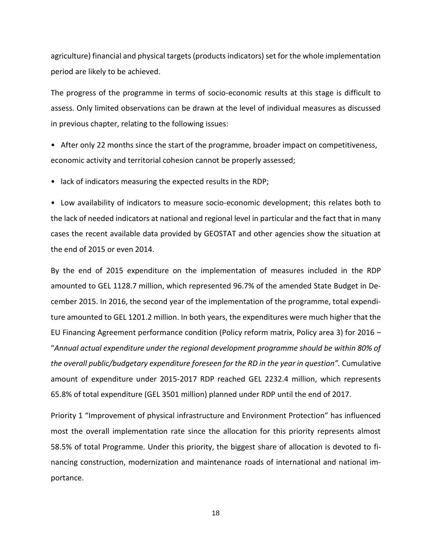agriculture) financial and physical targets (products indicators) set for the whole implementation period are likely to be achieved.

The progress of the programme in terms of socio-economic results at this stage is difficult to assess. Only limited observations can be drawn at the level of individual measures as discussed in previous chapter, relating to the following issues:

• After only 22 months since the start of the programme, broader impact on competitiveness, economic activity and territorial cohesion cannot be properly assessed;

• lack of indicators measuring the expected results in the RDP;

• Low availability of indicators to measure socio-economic development; this relates both to the lack of needed indicators at national and regional level in particular and the fact that in many cases the recent available data provided by GEOSTAT and other agencies show the situation at the end of 2015 or even 2014.

By the end of 2015 expenditure on the implementation of measures included in the RDP amounted to GEL 1128.7 million, which represented 96.7% of the amended State Budget in December 2015. In 2016, the second year of the implementation of the programme, total expenditure amounted to GEL 1201.2 million. In both years, the expenditures were much higher that the EU Financing Agreement performance condition (Policy reform matrix, Policy area 3) for 2016 – "*Annual actual expenditure under the regional development programme should be within 80% of the overall public/budgetary expenditure foreseen for the RD in the year in question".* Cumulative amount of expenditure under 2015-2017 RDP reached GEL 2232.4 million, which represents 65.8% of total expenditure (GEL 3501 million) planned under RDP until the end of 2017.

Priority 1 "Improvement of physical infrastructure and Environment Protection" has influenced most the overall implementation rate since the allocation for this priority represents almost 58.5% of total Programme. Under this priority, the biggest share of allocation is devoted to financing construction, modernization and maintenance roads of international and national importance.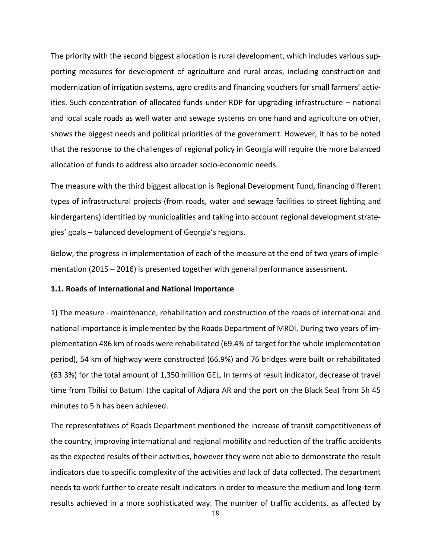The priority with the second biggest allocation is rural development, which includes various supporting measures for development of agriculture and rural areas, including construction and modernization of irrigation systems, agro credits and financing vouchers for small farmers' activities. Such concentration of allocated funds under RDP for upgrading infrastructure – national and local scale roads as well water and sewage systems on one hand and agriculture on other, shows the biggest needs and political priorities of the government. However, it has to be noted that the response to the challenges of regional policy in Georgia will require the more balanced allocation of funds to address also broader socio-economic needs.

The measure with the third biggest allocation is Regional Development Fund, financing different types of infrastructural projects (from roads, water and sewage facilities to street lighting and kindergartens) identified by municipalities and taking into account regional development strategies' goals – balanced development of Georgia's regions.

Below, the progress in implementation of each of the measure at the end of two years of implementation (2015 – 2016) is presented together with general performance assessment.

#### **1.1. Roads of International and National Importance**

1) The measure - maintenance, rehabilitation and construction of the roads of international and national importance is implemented by the Roads Department of MRDI. During two years of implementation 486 km of roads were rehabilitated (69.4% of target for the whole implementation period), 54 km of highway were constructed (66.9%) and 76 bridges were built or rehabilitated (63.3%) for the total amount of 1,350 million GEL. In terms of result indicator, decrease of travel time from Tbilisi to Batumi (the capital of Adjara AR and the port on the Black Sea) from 5h 45 minutes to 5 h has been achieved.

The representatives of Roads Department mentioned the increase of transit competitiveness of the country, improving international and regional mobility and reduction of the traffic accidents as the expected results of their activities, however they were not able to demonstrate the result indicators due to specific complexity of the activities and lack of data collected. The department needs to work further to create result indicators in order to measure the medium and long-term results achieved in a more sophisticated way. The number of traffic accidents, as affected by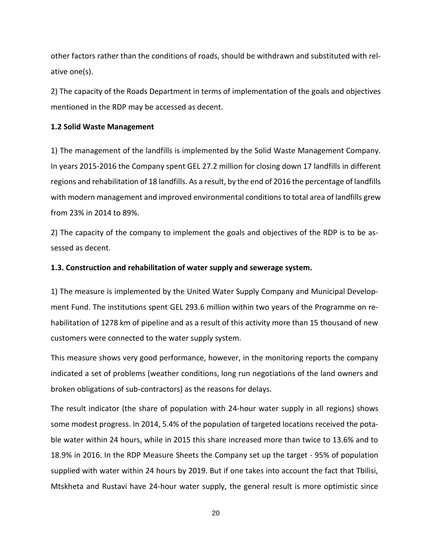other factors rather than the conditions of roads, should be withdrawn and substituted with relative one(s).

2) The capacity of the Roads Department in terms of implementation of the goals and objectives mentioned in the RDP may be accessed as decent.

#### **1.2 Solid Waste Management**

1) The management of the landfills is implemented by the Solid Waste Management Company. In years 2015-2016 the Company spent GEL 27.2 million for closing down 17 landfills in different regions and rehabilitation of 18 landfills. As a result, by the end of 2016 the percentage of landfills with modern management and improved environmental conditions to total area of landfills grew from 23% in 2014 to 89%.

2) The capacity of the company to implement the goals and objectives of the RDP is to be assessed as decent.

#### **1.3. Construction and rehabilitation of water supply and sewerage system.**

1) The measure is implemented by the United Water Supply Company and Municipal Development Fund. The institutions spent GEL 293.6 million within two years of the Programme on rehabilitation of 1278 km of pipeline and as a result of this activity more than 15 thousand of new customers were connected to the water supply system.

This measure shows very good performance, however, in the monitoring reports the company indicated a set of problems (weather conditions, long run negotiations of the land owners and broken obligations of sub-contractors) as the reasons for delays.

The result indicator (the share of population with 24-hour water supply in all regions) shows some modest progress. In 2014, 5.4% of the population of targeted locations received the potable water within 24 hours, while in 2015 this share increased more than twice to 13.6% and to 18.9% in 2016. In the RDP Measure Sheets the Company set up the target - 95% of population supplied with water within 24 hours by 2019. But if one takes into account the fact that Tbilisi, Mtskheta and Rustavi have 24-hour water supply, the general result is more optimistic since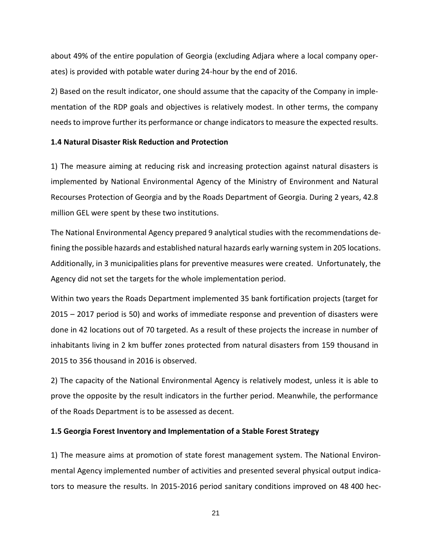about 49% of the entire population of Georgia (excluding Adjara where a local company operates) is provided with potable water during 24-hour by the end of 2016.

2) Based on the result indicator, one should assume that the capacity of the Company in implementation of the RDP goals and objectives is relatively modest. In other terms, the company needs to improve further its performance or change indicators to measure the expected results.

#### **1.4 Natural Disaster Risk Reduction and Protection**

1) The measure aiming at reducing risk and increasing protection against natural disasters is implemented by National Environmental Agency of the Ministry of Environment and Natural Recourses Protection of Georgia and by the Roads Department of Georgia. During 2 years, 42.8 million GEL were spent by these two institutions.

The National Environmental Agency prepared 9 analytical studies with the recommendations defining the possible hazards and established natural hazards early warning system in 205 locations. Additionally, in 3 municipalities plans for preventive measures were created. Unfortunately, the Agency did not set the targets for the whole implementation period.

Within two years the Roads Department implemented 35 bank fortification projects (target for 2015 – 2017 period is 50) and works of immediate response and prevention of disasters were done in 42 locations out of 70 targeted. As a result of these projects the increase in number of inhabitants living in 2 km buffer zones protected from natural disasters from 159 thousand in 2015 to 356 thousand in 2016 is observed.

2) The capacity of the National Environmental Agency is relatively modest, unless it is able to prove the opposite by the result indicators in the further period. Meanwhile, the performance of the Roads Department is to be assessed as decent.

#### **1.5 Georgia Forest Inventory and Implementation of a Stable Forest Strategy**

1) The measure aims at promotion of state forest management system. The National Environmental Agency implemented number of activities and presented several physical output indicators to measure the results. In 2015-2016 period sanitary conditions improved on 48 400 hec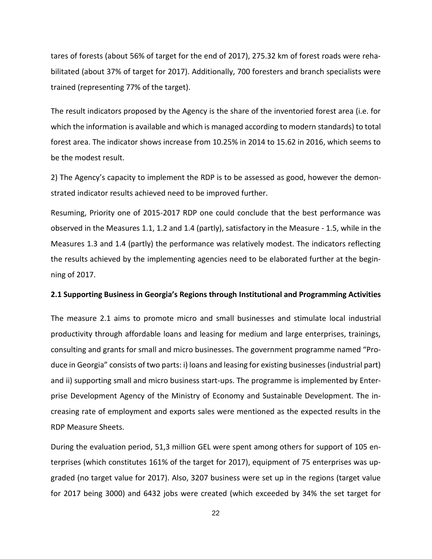tares of forests (about 56% of target for the end of 2017), 275.32 km of forest roads were rehabilitated (about 37% of target for 2017). Additionally, 700 foresters and branch specialists were trained (representing 77% of the target).

The result indicators proposed by the Agency is the share of the inventoried forest area (i.e. for which the information is available and which is managed according to modern standards) to total forest area. The indicator shows increase from 10.25% in 2014 to 15.62 in 2016, which seems to be the modest result.

2) The Agency's capacity to implement the RDP is to be assessed as good, however the demonstrated indicator results achieved need to be improved further.

Resuming, Priority one of 2015-2017 RDP one could conclude that the best performance was observed in the Measures 1.1, 1.2 and 1.4 (partly), satisfactory in the Measure - 1.5, while in the Measures 1.3 and 1.4 (partly) the performance was relatively modest. The indicators reflecting the results achieved by the implementing agencies need to be elaborated further at the beginning of 2017.

#### **2.1 Supporting Business in Georgia's Regions through Institutional and Programming Activities**

The measure 2.1 aims to promote micro and small businesses and stimulate local industrial productivity through affordable loans and leasing for medium and large enterprises, trainings, consulting and grants for small and micro businesses. The government programme named "Produce in Georgia" consists of two parts: i) loans and leasing for existing businesses (industrial part) and ii) supporting small and micro business start-ups. The programme is implemented by Enterprise Development Agency of the Ministry of Economy and Sustainable Development. The increasing rate of employment and exports sales were mentioned as the expected results in the RDP Measure Sheets.

During the evaluation period, 51,3 million GEL were spent among others for support of 105 enterprises (which constitutes 161% of the target for 2017), equipment of 75 enterprises was upgraded (no target value for 2017). Also, 3207 business were set up in the regions (target value for 2017 being 3000) and 6432 jobs were created (which exceeded by 34% the set target for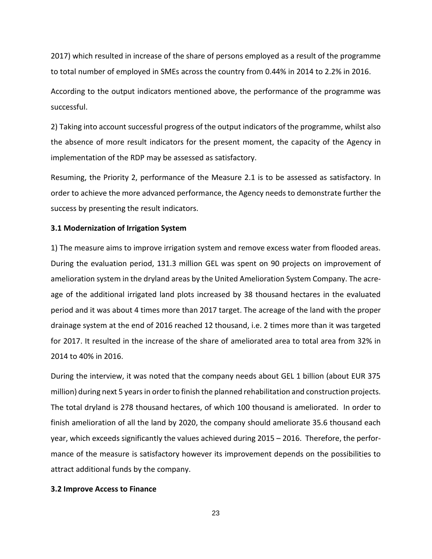2017) which resulted in increase of the share of persons employed as a result of the programme to total number of employed in SMEs across the country from 0.44% in 2014 to 2.2% in 2016.

According to the output indicators mentioned above, the performance of the programme was successful.

2) Taking into account successful progress of the output indicators of the programme, whilst also the absence of more result indicators for the present moment, the capacity of the Agency in implementation of the RDP may be assessed as satisfactory.

Resuming, the Priority 2, performance of the Measure 2.1 is to be assessed as satisfactory. In order to achieve the more advanced performance, the Agency needs to demonstrate further the success by presenting the result indicators.

#### **3.1 Modernization of Irrigation System**

1) The measure aims to improve irrigation system and remove excess water from flooded areas. During the evaluation period, 131.3 million GEL was spent on 90 projects on improvement of amelioration system in the dryland areas by the United Amelioration System Company. The acreage of the additional irrigated land plots increased by 38 thousand hectares in the evaluated period and it was about 4 times more than 2017 target. The acreage of the land with the proper drainage system at the end of 2016 reached 12 thousand, i.e. 2 times more than it was targeted for 2017. It resulted in the increase of the share of ameliorated area to total area from 32% in 2014 to 40% in 2016.

During the interview, it was noted that the company needs about GEL 1 billion (about EUR 375 million) during next 5 years in order to finish the planned rehabilitation and construction projects. The total dryland is 278 thousand hectares, of which 100 thousand is ameliorated. In order to finish amelioration of all the land by 2020, the company should ameliorate 35.6 thousand each year, which exceeds significantly the values achieved during 2015 – 2016. Therefore, the performance of the measure is satisfactory however its improvement depends on the possibilities to attract additional funds by the company.

#### **3.2 Improve Access to Finance**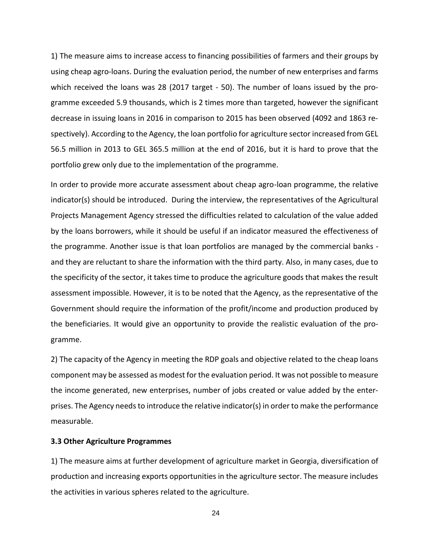1) The measure aims to increase access to financing possibilities of farmers and their groups by using cheap agro-loans. During the evaluation period, the number of new enterprises and farms which received the loans was 28 (2017 target - 50). The number of loans issued by the programme exceeded 5.9 thousands, which is 2 times more than targeted, however the significant decrease in issuing loans in 2016 in comparison to 2015 has been observed (4092 and 1863 respectively). According to the Agency, the loan portfolio for agriculture sector increased from GEL 56.5 million in 2013 to GEL 365.5 million at the end of 2016, but it is hard to prove that the portfolio grew only due to the implementation of the programme.

In order to provide more accurate assessment about cheap agro-loan programme, the relative indicator(s) should be introduced. During the interview, the representatives of the Agricultural Projects Management Agency stressed the difficulties related to calculation of the value added by the loans borrowers, while it should be useful if an indicator measured the effectiveness of the programme. Another issue is that loan portfolios are managed by the commercial banks and they are reluctant to share the information with the third party. Also, in many cases, due to the specificity of the sector, it takes time to produce the agriculture goods that makes the result assessment impossible. However, it is to be noted that the Agency, as the representative of the Government should require the information of the profit/income and production produced by the beneficiaries. It would give an opportunity to provide the realistic evaluation of the programme.

2) The capacity of the Agency in meeting the RDP goals and objective related to the cheap loans component may be assessed as modest for the evaluation period. It was not possible to measure the income generated, new enterprises, number of jobs created or value added by the enterprises. The Agency needs to introduce the relative indicator(s) in order to make the performance measurable.

#### **3.3 Other Agriculture Programmes**

1) The measure aims at further development of agriculture market in Georgia, diversification of production and increasing exports opportunities in the agriculture sector. The measure includes the activities in various spheres related to the agriculture.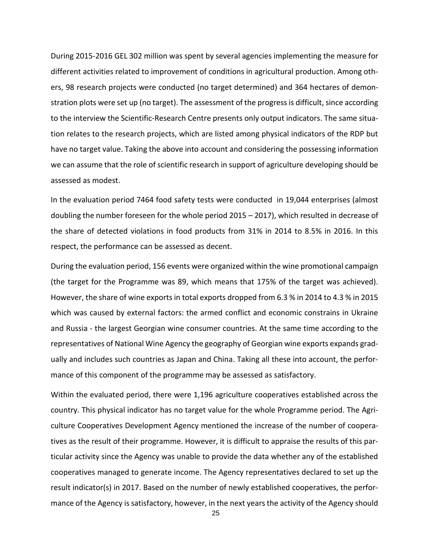During 2015-2016 GEL 302 million was spent by several agencies implementing the measure for different activities related to improvement of conditions in agricultural production. Among others, 98 research projects were conducted (no target determined) and 364 hectares of demonstration plots were set up (no target). The assessment of the progress is difficult, since according to the interview the Scientific-Research Centre presents only output indicators. The same situation relates to the research projects, which are listed among physical indicators of the RDP but have no target value. Taking the above into account and considering the possessing information we can assume that the role of scientific research in support of agriculture developing should be assessed as modest.

In the evaluation period 7464 food safety tests were conducted in 19,044 enterprises (almost doubling the number foreseen for the whole period 2015 – 2017), which resulted in decrease of the share of detected violations in food products from 31% in 2014 to 8.5% in 2016. In this respect, the performance can be assessed as decent.

During the evaluation period, 156 events were organized within the wine promotional campaign (the target for the Programme was 89, which means that 175% of the target was achieved). However, the share of wine exports in total exports dropped from 6.3 % in 2014 to 4.3 % in 2015 which was caused by external factors: the armed conflict and economic constrains in Ukraine and Russia - the largest Georgian wine consumer countries. At the same time according to the representatives of National Wine Agency the geography of Georgian wine exports expands gradually and includes such countries as Japan and China. Taking all these into account, the performance of this component of the programme may be assessed as satisfactory.

Within the evaluated period, there were 1,196 agriculture cooperatives established across the country. This physical indicator has no target value for the whole Programme period. The Agriculture Cooperatives Development Agency mentioned the increase of the number of cooperatives as the result of their programme. However, it is difficult to appraise the results of this particular activity since the Agency was unable to provide the data whether any of the established cooperatives managed to generate income. The Agency representatives declared to set up the result indicator(s) in 2017. Based on the number of newly established cooperatives, the performance of the Agency is satisfactory, however, in the next years the activity of the Agency should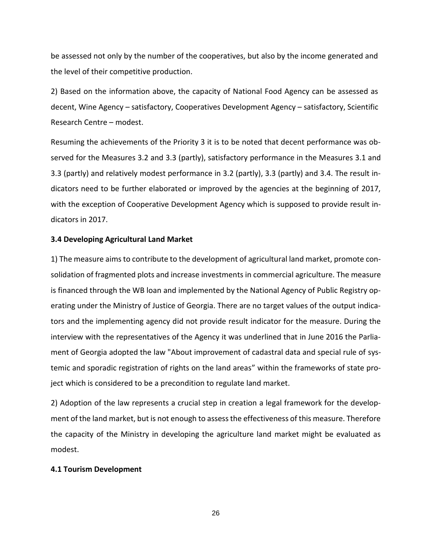be assessed not only by the number of the cooperatives, but also by the income generated and the level of their competitive production.

2) Based on the information above, the capacity of National Food Agency can be assessed as decent, Wine Agency – satisfactory, Cooperatives Development Agency – satisfactory, Scientific Research Centre – modest.

Resuming the achievements of the Priority 3 it is to be noted that decent performance was observed for the Measures 3.2 and 3.3 (partly), satisfactory performance in the Measures 3.1 and 3.3 (partly) and relatively modest performance in 3.2 (partly), 3.3 (partly) and 3.4. The result indicators need to be further elaborated or improved by the agencies at the beginning of 2017, with the exception of Cooperative Development Agency which is supposed to provide result indicators in 2017.

#### **3.4 Developing Agricultural Land Market**

1) The measure aims to contribute to the development of agricultural land market, promote consolidation of fragmented plots and increase investments in commercial agriculture. The measure is financed through the WB loan and implemented by the National Agency of Public Registry operating under the Ministry of Justice of Georgia. There are no target values of the output indicators and the implementing agency did not provide result indicator for the measure. During the interview with the representatives of the Agency it was underlined that in June 2016 the Parliament of Georgia adopted the law "About improvement of cadastral data and special rule of systemic and sporadic registration of rights on the land areas" within the frameworks of state project which is considered to be a precondition to regulate land market.

2) Adoption of the law represents a crucial step in creation a legal framework for the development of the land market, but is not enough to assess the effectiveness of this measure. Therefore the capacity of the Ministry in developing the agriculture land market might be evaluated as modest.

#### **4.1 Tourism Development**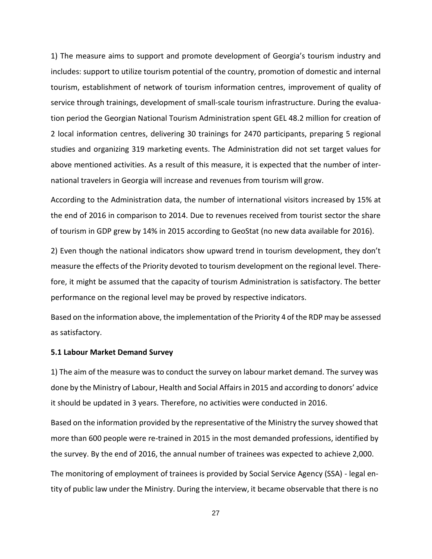1) The measure aims to support and promote development of Georgia's tourism industry and includes: support to utilize tourism potential of the country, promotion of domestic and internal tourism, establishment of network of tourism information centres, improvement of quality of service through trainings, development of small-scale tourism infrastructure. During the evaluation period the Georgian National Tourism Administration spent GEL 48.2 million for creation of 2 local information centres, delivering 30 trainings for 2470 participants, preparing 5 regional studies and organizing 319 marketing events. The Administration did not set target values for above mentioned activities. As a result of this measure, it is expected that the number of international travelers in Georgia will increase and revenues from tourism will grow.

According to the Administration data, the number of international visitors increased by 15% at the end of 2016 in comparison to 2014. Due to revenues received from tourist sector the share of tourism in GDP grew by 14% in 2015 according to GeoStat (no new data available for 2016).

2) Even though the national indicators show upward trend in tourism development, they don't measure the effects of the Priority devoted to tourism development on the regional level. Therefore, it might be assumed that the capacity of tourism Administration is satisfactory. The better performance on the regional level may be proved by respective indicators.

Based on the information above, the implementation of the Priority 4 of the RDP may be assessed as satisfactory.

#### **5.1 Labour Market Demand Survey**

1) The aim of the measure was to conduct the survey on labour market demand. The survey was done by the Ministry of Labour, Health and Social Affairs in 2015 and according to donors' advice it should be updated in 3 years. Therefore, no activities were conducted in 2016.

Based on the information provided by the representative of the Ministry the survey showed that more than 600 people were re-trained in 2015 in the most demanded professions, identified by the survey. By the end of 2016, the annual number of trainees was expected to achieve 2,000.

The monitoring of employment of trainees is provided by Social Service Agency (SSA) - legal entity of public law under the Ministry. During the interview, it became observable that there is no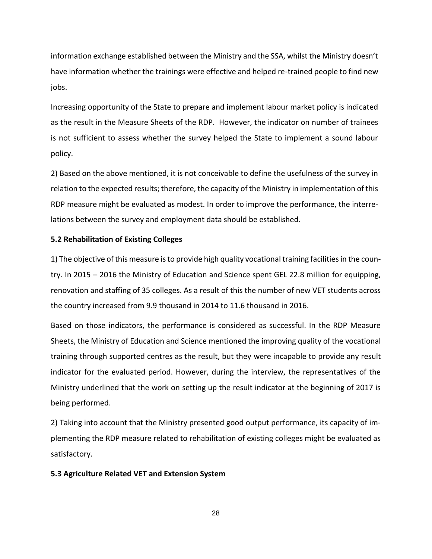information exchange established between the Ministry and the SSA, whilst the Ministry doesn't have information whether the trainings were effective and helped re-trained people to find new jobs.

Increasing opportunity of the State to prepare and implement labour market policy is indicated as the result in the Measure Sheets of the RDP. However, the indicator on number of trainees is not sufficient to assess whether the survey helped the State to implement a sound labour policy.

2) Based on the above mentioned, it is not conceivable to define the usefulness of the survey in relation to the expected results; therefore, the capacity of the Ministry in implementation of this RDP measure might be evaluated as modest. In order to improve the performance, the interrelations between the survey and employment data should be established.

#### **5.2 Rehabilitation of Existing Colleges**

1) The objective of this measure is to provide high quality vocational training facilities in the country. In 2015 – 2016 the Ministry of Education and Science spent GEL 22.8 million for equipping, renovation and staffing of 35 colleges. As a result of this the number of new VET students across the country increased from 9.9 thousand in 2014 to 11.6 thousand in 2016.

Based on those indicators, the performance is considered as successful. In the RDP Measure Sheets, the Ministry of Education and Science mentioned the improving quality of the vocational training through supported centres as the result, but they were incapable to provide any result indicator for the evaluated period. However, during the interview, the representatives of the Ministry underlined that the work on setting up the result indicator at the beginning of 2017 is being performed.

2) Taking into account that the Ministry presented good output performance, its capacity of implementing the RDP measure related to rehabilitation of existing colleges might be evaluated as satisfactory.

#### **5.3 Agriculture Related VET and Extension System**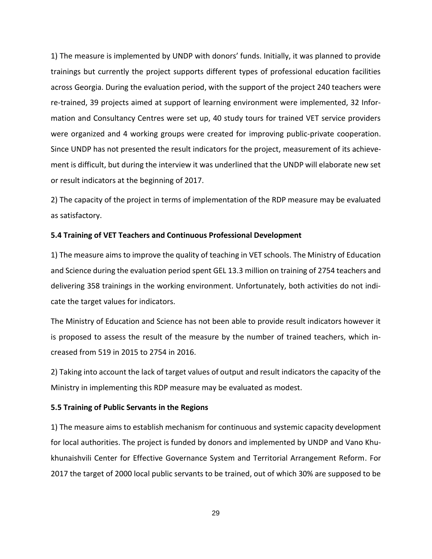1) The measure is implemented by UNDP with donors' funds. Initially, it was planned to provide trainings but currently the project supports different types of professional education facilities across Georgia. During the evaluation period, with the support of the project 240 teachers were re-trained, 39 projects aimed at support of learning environment were implemented, 32 Information and Consultancy Centres were set up, 40 study tours for trained VET service providers were organized and 4 working groups were created for improving public-private cooperation. Since UNDP has not presented the result indicators for the project, measurement of its achievement is difficult, but during the interview it was underlined that the UNDP will elaborate new set or result indicators at the beginning of 2017.

2) The capacity of the project in terms of implementation of the RDP measure may be evaluated as satisfactory.

#### **5.4 Training of VET Teachers and Continuous Professional Development**

1) The measure aims to improve the quality of teaching in VET schools. The Ministry of Education and Science during the evaluation period spent GEL 13.3 million on training of 2754 teachers and delivering 358 trainings in the working environment. Unfortunately, both activities do not indicate the target values for indicators.

The Ministry of Education and Science has not been able to provide result indicators however it is proposed to assess the result of the measure by the number of trained teachers, which increased from 519 in 2015 to 2754 in 2016.

2) Taking into account the lack of target values of output and result indicators the capacity of the Ministry in implementing this RDP measure may be evaluated as modest.

## **5.5 Training of Public Servants in the Regions**

1) The measure aims to establish mechanism for continuous and systemic capacity development for local authorities. The project is funded by donors and implemented by UNDP and Vano Khukhunaishvili Center for Effective Governance System and Territorial Arrangement Reform. For 2017 the target of 2000 local public servants to be trained, out of which 30% are supposed to be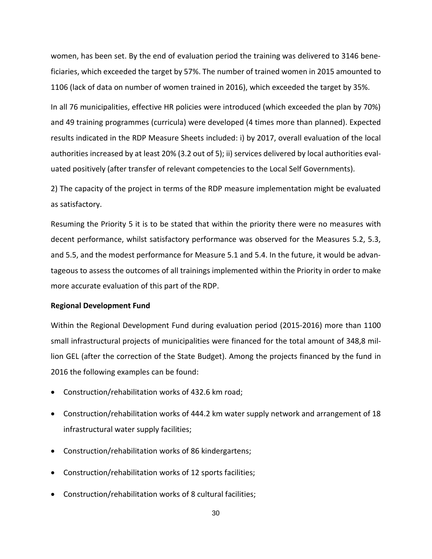women, has been set. By the end of evaluation period the training was delivered to 3146 beneficiaries, which exceeded the target by 57%. The number of trained women in 2015 amounted to 1106 (lack of data on number of women trained in 2016), which exceeded the target by 35%.

In all 76 municipalities, effective HR policies were introduced (which exceeded the plan by 70%) and 49 training programmes (curricula) were developed (4 times more than planned). Expected results indicated in the RDP Measure Sheets included: i) by 2017, overall evaluation of the local authorities increased by at least 20% (3.2 out of 5); ii) services delivered by local authorities evaluated positively (after transfer of relevant competencies to the Local Self Governments).

2) The capacity of the project in terms of the RDP measure implementation might be evaluated as satisfactory.

Resuming the Priority 5 it is to be stated that within the priority there were no measures with decent performance, whilst satisfactory performance was observed for the Measures 5.2, 5.3, and 5.5, and the modest performance for Measure 5.1 and 5.4. In the future, it would be advantageous to assess the outcomes of all trainings implemented within the Priority in order to make more accurate evaluation of this part of the RDP.

#### **Regional Development Fund**

Within the Regional Development Fund during evaluation period (2015-2016) more than 1100 small infrastructural projects of municipalities were financed for the total amount of 348,8 million GEL (after the correction of the State Budget). Among the projects financed by the fund in 2016 the following examples can be found:

- Construction/rehabilitation works of 432.6 km road;
- Construction/rehabilitation works of 444.2 km water supply network and arrangement of 18 infrastructural water supply facilities;
- Construction/rehabilitation works of 86 kindergartens;
- Construction/rehabilitation works of 12 sports facilities;
- Construction/rehabilitation works of 8 cultural facilities;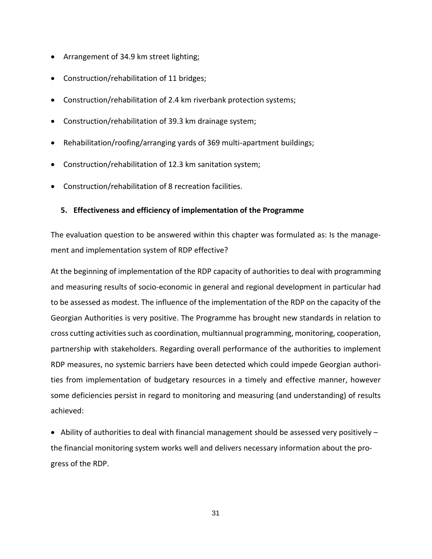- Arrangement of 34.9 km street lighting;
- Construction/rehabilitation of 11 bridges;
- Construction/rehabilitation of 2.4 km riverbank protection systems;
- Construction/rehabilitation of 39.3 km drainage system;
- Rehabilitation/roofing/arranging yards of 369 multi-apartment buildings;
- Construction/rehabilitation of 12.3 km sanitation system;
- Construction/rehabilitation of 8 recreation facilities.

## <span id="page-30-0"></span>**5. Effectiveness and efficiency of implementation of the Programme**

The evaluation question to be answered within this chapter was formulated as: Is the management and implementation system of RDP effective?

At the beginning of implementation of the RDP capacity of authorities to deal with programming and measuring results of socio-economic in general and regional development in particular had to be assessed as modest. The influence of the implementation of the RDP on the capacity of the Georgian Authorities is very positive. The Programme has brought new standards in relation to cross cutting activities such as coordination, multiannual programming, monitoring, cooperation, partnership with stakeholders. Regarding overall performance of the authorities to implement RDP measures, no systemic barriers have been detected which could impede Georgian authorities from implementation of budgetary resources in a timely and effective manner, however some deficiencies persist in regard to monitoring and measuring (and understanding) of results achieved:

 $\bullet$  Ability of authorities to deal with financial management should be assessed very positively  $$ the financial monitoring system works well and delivers necessary information about the progress of the RDP.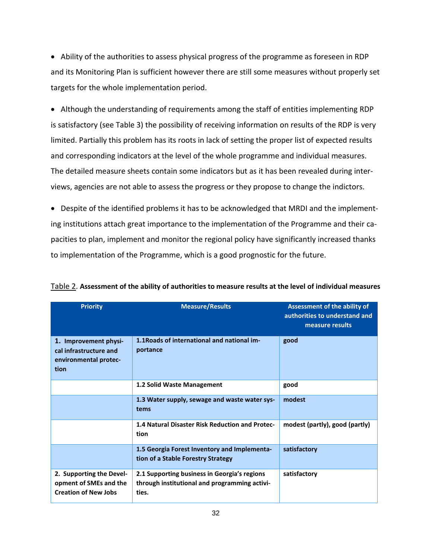Ability of the authorities to assess physical progress of the programme as foreseen in RDP and its Monitoring Plan is sufficient however there are still some measures without properly set targets for the whole implementation period.

 Although the understanding of requirements among the staff of entities implementing RDP is satisfactory (see Table 3) the possibility of receiving information on results of the RDP is very limited. Partially this problem has its roots in lack of setting the proper list of expected results and corresponding indicators at the level of the whole programme and individual measures. The detailed measure sheets contain some indicators but as it has been revealed during interviews, agencies are not able to assess the progress or they propose to change the indictors.

 Despite of the identified problems it has to be acknowledged that MRDI and the implementing institutions attach great importance to the implementation of the Programme and their capacities to plan, implement and monitor the regional policy have significantly increased thanks to implementation of the Programme, which is a good prognostic for the future.

| <b>Priority</b>                                                                   | <b>Measure/Results</b>                                                                                 | <b>Assessment of the ability of</b><br>authorities to understand and<br>measure results |
|-----------------------------------------------------------------------------------|--------------------------------------------------------------------------------------------------------|-----------------------------------------------------------------------------------------|
| 1. Improvement physi-<br>cal infrastructure and<br>environmental protec-<br>tion  | 1.1 Roads of international and national im-<br>portance                                                | good                                                                                    |
|                                                                                   | 1.2 Solid Waste Management                                                                             | good                                                                                    |
|                                                                                   | 1.3 Water supply, sewage and waste water sys-<br>tems                                                  | modest                                                                                  |
|                                                                                   | 1.4 Natural Disaster Risk Reduction and Protec-<br>tion                                                | modest (partly), good (partly)                                                          |
|                                                                                   | 1.5 Georgia Forest Inventory and Implementa-<br>tion of a Stable Forestry Strategy                     | satisfactory                                                                            |
| 2. Supporting the Devel-<br>opment of SMEs and the<br><b>Creation of New Jobs</b> | 2.1 Supporting business in Georgia's regions<br>through institutional and programming activi-<br>ties. | satisfactory                                                                            |

Table 2. **Assessment of the ability of authorities to measure results at the level of individual measures**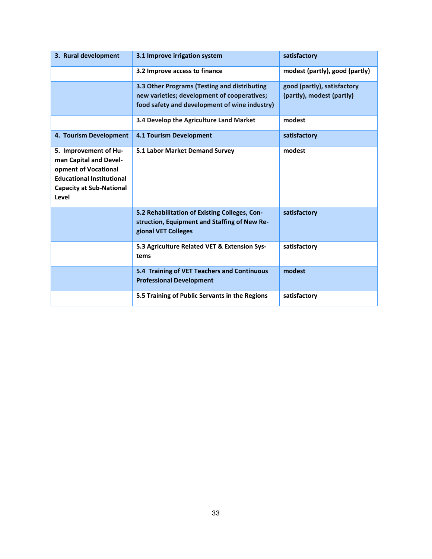| 3. Rural development                                                                                                                                    | 3.1 Improve irrigation system                                                                                                                | satisfactory                                             |
|---------------------------------------------------------------------------------------------------------------------------------------------------------|----------------------------------------------------------------------------------------------------------------------------------------------|----------------------------------------------------------|
|                                                                                                                                                         | 3.2 Improve access to finance                                                                                                                | modest (partly), good (partly)                           |
|                                                                                                                                                         | 3.3 Other Programs (Testing and distributing<br>new varieties; development of cooperatives;<br>food safety and development of wine industry) | good (partly), satisfactory<br>(partly), modest (partly) |
|                                                                                                                                                         | 3.4 Develop the Agriculture Land Market                                                                                                      | modest                                                   |
| 4. Tourism Development                                                                                                                                  | <b>4.1 Tourism Development</b>                                                                                                               | satisfactory                                             |
| 5. Improvement of Hu-<br>man Capital and Devel-<br>opment of Vocational<br><b>Educational Institutional</b><br><b>Capacity at Sub-National</b><br>Level | 5.1 Labor Market Demand Survey                                                                                                               | modest                                                   |
|                                                                                                                                                         | 5.2 Rehabilitation of Existing Colleges, Con-<br>struction, Equipment and Staffing of New Re-<br>gional VET Colleges                         | satisfactory                                             |
|                                                                                                                                                         | 5.3 Agriculture Related VET & Extension Sys-<br>tems                                                                                         | satisfactory                                             |
|                                                                                                                                                         | 5.4 Training of VET Teachers and Continuous<br><b>Professional Development</b>                                                               | modest                                                   |
|                                                                                                                                                         | 5.5 Training of Public Servants in the Regions                                                                                               | satisfactory                                             |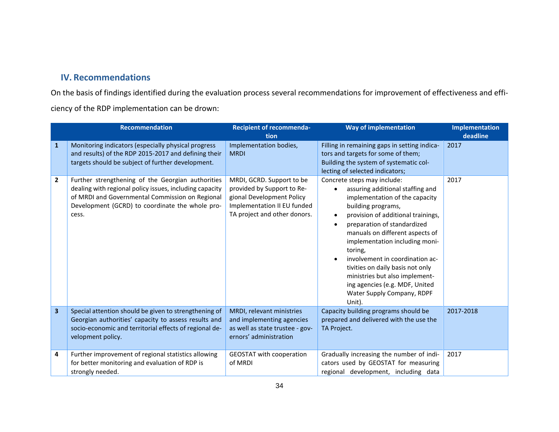# **IV. Recommendations**

On the basis of findings identified during the evaluation process several recommendations for improvement of effectiveness and efficiency of the RDP implementation can be drown:

<span id="page-33-0"></span>

|                         | <b>Recommendation</b>                                                                                                                                                                                                       | <b>Recipient of recommenda-</b><br>tion                                                                                                             | <b>Way of implementation</b>                                                                                                                                                                                                                                                                                                                                                                                                                                                               | <b>Implementation</b><br>deadline |
|-------------------------|-----------------------------------------------------------------------------------------------------------------------------------------------------------------------------------------------------------------------------|-----------------------------------------------------------------------------------------------------------------------------------------------------|--------------------------------------------------------------------------------------------------------------------------------------------------------------------------------------------------------------------------------------------------------------------------------------------------------------------------------------------------------------------------------------------------------------------------------------------------------------------------------------------|-----------------------------------|
| 1                       | Monitoring indicators (especially physical progress<br>and results) of the RDP 2015-2017 and defining their<br>targets should be subject of further development.                                                            | Implementation bodies,<br><b>MRDI</b>                                                                                                               | Filling in remaining gaps in setting indica-<br>tors and targets for some of them;<br>Building the system of systematic col-<br>lecting of selected indicators;                                                                                                                                                                                                                                                                                                                            | 2017                              |
| $\overline{2}$          | Further strengthening of the Georgian authorities<br>dealing with regional policy issues, including capacity<br>of MRDI and Governmental Commission on Regional<br>Development (GCRD) to coordinate the whole pro-<br>cess. | MRDI, GCRD. Support to be<br>provided by Support to Re-<br>gional Development Policy<br>Implementation II EU funded<br>TA project and other donors. | Concrete steps may include:<br>assuring additional staffing and<br>implementation of the capacity<br>building programs,<br>provision of additional trainings,<br>$\bullet$<br>preparation of standardized<br>manuals on different aspects of<br>implementation including moni-<br>toring,<br>involvement in coordination ac-<br>$\epsilon$<br>tivities on daily basis not only<br>ministries but also implement-<br>ing agencies (e.g. MDF, United<br>Water Supply Company, RDPF<br>Unit). | 2017                              |
| $\overline{\mathbf{3}}$ | Special attention should be given to strengthening of<br>Georgian authorities' capacity to assess results and<br>socio-economic and territorial effects of regional de-<br>velopment policy.                                | MRDI, relevant ministries<br>and implementing agencies<br>as well as state trustee - gov-<br>ernors' administration                                 | Capacity building programs should be<br>prepared and delivered with the use the<br>TA Project.                                                                                                                                                                                                                                                                                                                                                                                             | 2017-2018                         |
| 4                       | Further improvement of regional statistics allowing<br>for better monitoring and evaluation of RDP is<br>strongly needed.                                                                                                   | <b>GEOSTAT with cooperation</b><br>of MRDI                                                                                                          | Gradually increasing the number of indi-<br>cators used by GEOSTAT for measuring<br>regional development, including data                                                                                                                                                                                                                                                                                                                                                                   | 2017                              |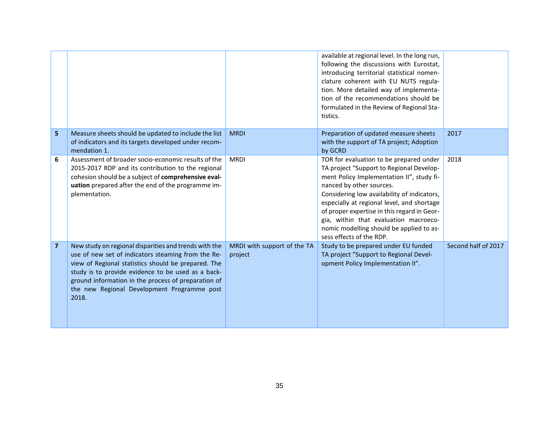|                |                                                                                                                                                                                                                                                                                                                                         |                                        | available at regional level. In the long run,<br>following the discussions with Eurostat,<br>introducing territorial statistical nomen-<br>clature coherent with EU NUTS regula-<br>tion. More detailed way of implementa-<br>tion of the recommendations should be<br>formulated in the Review of Regional Sta-<br>tistics.                                                                                              |                     |
|----------------|-----------------------------------------------------------------------------------------------------------------------------------------------------------------------------------------------------------------------------------------------------------------------------------------------------------------------------------------|----------------------------------------|---------------------------------------------------------------------------------------------------------------------------------------------------------------------------------------------------------------------------------------------------------------------------------------------------------------------------------------------------------------------------------------------------------------------------|---------------------|
| 5              | Measure sheets should be updated to include the list<br>of indicators and its targets developed under recom-<br>mendation 1.                                                                                                                                                                                                            | <b>MRDI</b>                            | Preparation of updated measure sheets<br>with the support of TA project; Adoption<br>by GCRD                                                                                                                                                                                                                                                                                                                              | 2017                |
| 6              | Assessment of broader socio-economic results of the<br>2015-2017 RDP and its contribution to the regional<br>cohesion should be a subject of comprehensive eval-<br>uation prepared after the end of the programme im-<br>plementation.                                                                                                 | <b>MRDI</b>                            | TOR for evaluation to be prepared under<br>TA project "Support to Regional Develop-<br>ment Policy Implementation II", study fi-<br>nanced by other sources.<br>Considering low availability of indicators,<br>especially at regional level, and shortage<br>of proper expertise in this regard in Geor-<br>gia, within that evaluation macroeco-<br>nomic modelling should be applied to as-<br>sess effects of the RDP. | 2018                |
| $\overline{7}$ | New study on regional disparities and trends with the<br>use of new set of indicators steaming from the Re-<br>view of Regional statistics should be prepared. The<br>study is to provide evidence to be used as a back-<br>ground information in the process of preparation of<br>the new Regional Development Programme post<br>2018. | MRDI with support of the TA<br>project | Study to be prepared under EU funded<br>TA project "Support to Regional Devel-<br>opment Policy Implementation II".                                                                                                                                                                                                                                                                                                       | Second half of 2017 |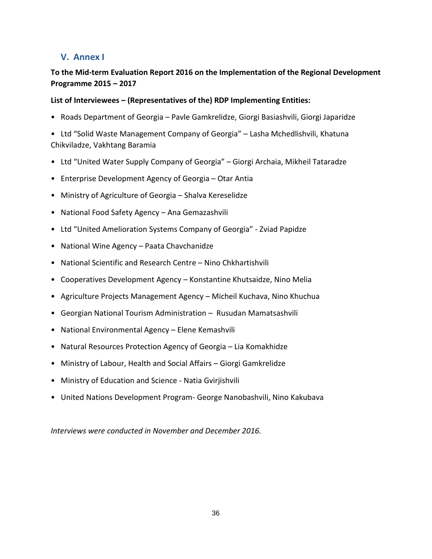# <span id="page-35-0"></span>**V. Annex I**

## **To the Mid-term Evaluation Report 2016 on the Implementation of the Regional Development Programme 2015 – 2017**

## **List of Interviewees – (Representatives of the) RDP Implementing Entities:**

- Roads Department of Georgia Pavle Gamkrelidze, Giorgi Basiashvili, Giorgi Japaridze
- Ltd "Solid Waste Management Company of Georgia" Lasha Mchedlishvili, Khatuna Chikviladze, Vakhtang Baramia
- Ltd "United Water Supply Company of Georgia" Giorgi Archaia, Mikheil Tataradze
- Enterprise Development Agency of Georgia Otar Antia
- Ministry of Agriculture of Georgia Shalva Kereselidze
- National Food Safety Agency Ana Gemazashvili
- Ltd "United Amelioration Systems Company of Georgia" Zviad Papidze
- National Wine Agency Paata Chavchanidze
- National Scientific and Research Centre Nino Chkhartishvili
- Cooperatives Development Agency Konstantine Khutsaidze, Nino Melia
- Agriculture Projects Management Agency Micheil Kuchava, Nino Khuchua
- Georgian National Tourism Administration Rusudan Mamatsashvili
- National Environmental Agency Elene Kemashvili
- Natural Resources Protection Agency of Georgia Lia Komakhidze
- Ministry of Labour, Health and Social Affairs Giorgi Gamkrelidze
- Ministry of Education and Science Natia Gvirjishvili
- United Nations Development Program- George Nanobashvili, Nino Kakubava

*Interviews were conducted in November and December 2016.*